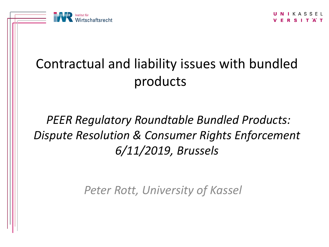

#### Contractual and liability issues with bundled products

#### *PEER Regulatory Roundtable Bundled Products: Dispute Resolution & Consumer Rights Enforcement 6/11/2019, Brussels*

*Peter Rott, University of Kassel*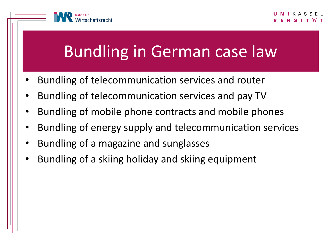

# Bundling in German case law

- Bundling of telecommunication services and router
- Bundling of telecommunication services and pay TV
- Bundling of mobile phone contracts and mobile phones
- Bundling of energy supply and telecommunication services
- Bundling of a magazine and sunglasses
- Bundling of a skiing holiday and skiing equipment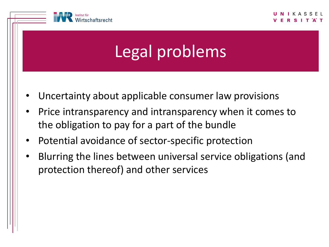

# Legal problems

- Uncertainty about applicable consumer law provisions
- Price intransparency and intransparency when it comes to the obligation to pay for a part of the bundle
- Potential avoidance of sector-specific protection
- Blurring the lines between universal service obligations (and protection thereof) and other services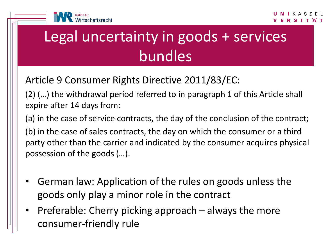# Legal uncertainty in goods + services bundles

Article 9 Consumer Rights Directive 2011/83/EC:

(2) (…) the withdrawal period referred to in paragraph 1 of this Article shall expire after 14 days from:

(a) in the case of service contracts, the day of the conclusion of the contract; (b) in the case of sales contracts, the day on which the consumer or a third party other than the carrier and indicated by the consumer acquires physical possession of the goods (…).

- German law: Application of the rules on goods unless the goods only play a minor role in the contract
- Preferable: Cherry picking approach always the more consumer-friendly rule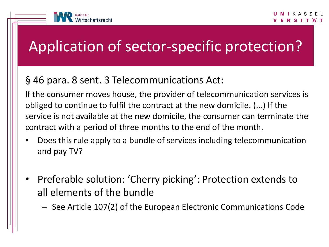

## Application of sector-specific protection?

#### § 46 para. 8 sent. 3 Telecommunications Act:

If the consumer moves house, the provider of telecommunication services is obliged to continue to fulfil the contract at the new domicile. (...) If the service is not available at the new domicile, the consumer can terminate the contract with a period of three months to the end of the month.

- Does this rule apply to a bundle of services including telecommunication and pay TV?
- Preferable solution: 'Cherry picking': Protection extends to all elements of the bundle
	- See Article 107(2) of the European Electronic Communications Code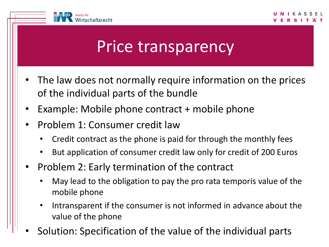

# Price transparency

- The law does not normally require information on the prices of the individual parts of the bundle
- Example: Mobile phone contract + mobile phone
- Problem 1: Consumer credit law
	- Credit contract as the phone is paid for through the monthly fees
	- But application of consumer credit law only for credit of 200 Euros
- Problem 2: Early termination of the contract
	- May lead to the obligation to pay the pro rata temporis value of the mobile phone
	- Intransparent if the consumer is not informed in advance about the value of the phone
- Solution: Specification of the value of the individual parts